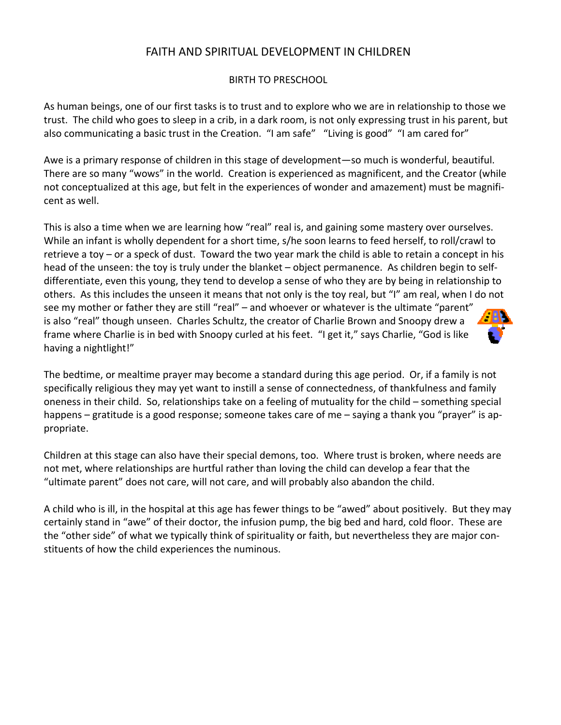# FAITH AND SPIRITUAL DEVELOPMENT IN CHILDREN

### BIRTH TO PRESCHOOL

As human beings, one of our first tasks is to trust and to explore who we are in relationship to those we trust. The child who goes to sleep in a crib, in a dark room, is not only expressing trust in his parent, but also communicating a basic trust in the Creation. "I am safe" "Living is good" "I am cared for"

Awe is a primary response of children in this stage of development—so much is wonderful, beautiful. There are so many "wows" in the world. Creation is experienced as magnificent, and the Creator (while not conceptualized at this age, but felt in the experiences of wonder and amazement) must be magnificent as well.

This is also a time when we are learning how "real" real is, and gaining some mastery over ourselves. While an infant is wholly dependent for a short time, s/he soon learns to feed herself, to roll/crawl to retrieve a toy – or a speck of dust. Toward the two year mark the child is able to retain a concept in his head of the unseen: the toy is truly under the blanket – object permanence. As children begin to selfdifferentiate, even this young, they tend to develop a sense of who they are by being in relationship to others. As this includes the unseen it means that not only is the toy real, but "I" am real, when I do not see my mother or father they are still "real" – and whoever or whatever is the ultimate "parent" is also "real" though unseen. Charles Schultz, the creator of Charlie Brown and Snoopy drew a frame where Charlie is in bed with Snoopy curled at his feet. "I get it," says Charlie, "God is like having a nightlight!"

The bedtime, or mealtime prayer may become a standard during this age period. Or, if a family is not specifically religious they may yet want to instill a sense of connectedness, of thankfulness and family oneness in their child. So, relationships take on a feeling of mutuality for the child – something special happens – gratitude is a good response; someone takes care of me – saying a thank you "prayer" is appropriate.

Children at this stage can also have their special demons, too. Where trust is broken, where needs are not met, where relationships are hurtful rather than loving the child can develop a fear that the "ultimate parent" does not care, will not care, and will probably also abandon the child.

A child who is ill, in the hospital at this age has fewer things to be "awed" about positively. But they may certainly stand in "awe" of their doctor, the infusion pump, the big bed and hard, cold floor. These are the "other side" of what we typically think of spirituality or faith, but nevertheless they are major con‐ stituents of how the child experiences the numinous.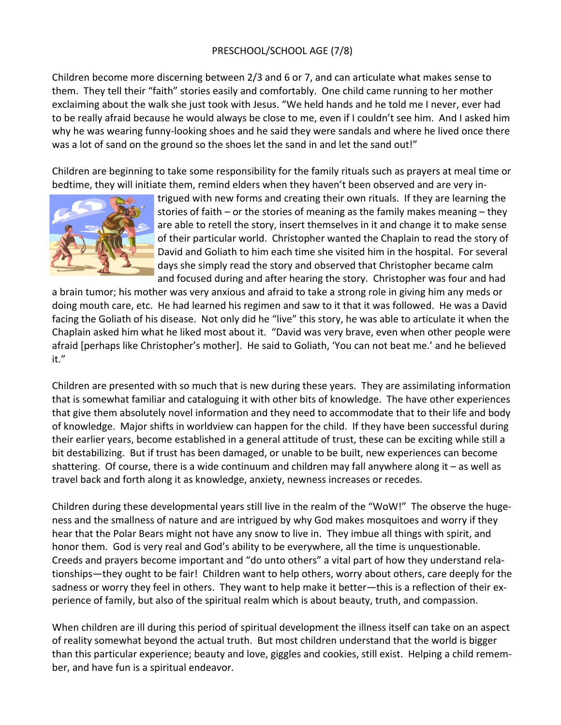# PRESCHOOL/SCHOOL AGE (7/8)

Children become more discerning between 2/3 and 6 or 7, and can articulate what makes sense to them. They tell their "faith" stories easily and comfortably. One child came running to her mother exclaiming about the walk she just took with Jesus. "We held hands and he told me I never, ever had to be really afraid because he would always be close to me, even if I couldn't see him. And I asked him why he was wearing funny-looking shoes and he said they were sandals and where he lived once there was a lot of sand on the ground so the shoes let the sand in and let the sand out!"

Children are beginning to take some responsibility for the family rituals such as prayers at meal time or bedtime, they will initiate them, remind elders when they haven't been observed and are very in‐



trigued with new forms and creating their own rituals. If they are learning the stories of faith – or the stories of meaning as the family makes meaning – they are able to retell the story, insert themselves in it and change it to make sense of their particular world. Christopher wanted the Chaplain to read the story of David and Goliath to him each time she visited him in the hospital. For several days she simply read the story and observed that Christopher became calm and focused during and after hearing the story. Christopher was four and had

a brain tumor; his mother was very anxious and afraid to take a strong role in giving him any meds or doing mouth care, etc. He had learned his regimen and saw to it that it was followed. He was a David facing the Goliath of his disease. Not only did he "live" this story, he was able to articulate it when the Chaplain asked him what he liked most about it. "David was very brave, even when other people were afraid [perhaps like Christopher's mother]. He said to Goliath, 'You can not beat me.' and he believed it."

Children are presented with so much that is new during these years. They are assimilating information that is somewhat familiar and cataloguing it with other bits of knowledge. The have other experiences that give them absolutely novel information and they need to accommodate that to their life and body of knowledge. Major shifts in worldview can happen for the child. If they have been successful during their earlier years, become established in a general attitude of trust, these can be exciting while still a bit destabilizing. But if trust has been damaged, or unable to be built, new experiences can become shattering. Of course, there is a wide continuum and children may fall anywhere along it – as well as travel back and forth along it as knowledge, anxiety, newness increases or recedes.

Children during these developmental years still live in the realm of the "WoW!" The observe the huge‐ ness and the smallness of nature and are intrigued by why God makes mosquitoes and worry if they hear that the Polar Bears might not have any snow to live in. They imbue all things with spirit, and honor them. God is very real and God's ability to be everywhere, all the time is unquestionable. Creeds and prayers become important and "do unto others" a vital part of how they understand rela‐ tionships—they ought to be fair! Children want to help others, worry about others, care deeply for the sadness or worry they feel in others. They want to help make it better—this is a reflection of their ex‐ perience of family, but also of the spiritual realm which is about beauty, truth, and compassion.

When children are ill during this period of spiritual development the illness itself can take on an aspect of reality somewhat beyond the actual truth. But most children understand that the world is bigger than this particular experience; beauty and love, giggles and cookies, still exist. Helping a child remem‐ ber, and have fun is a spiritual endeavor.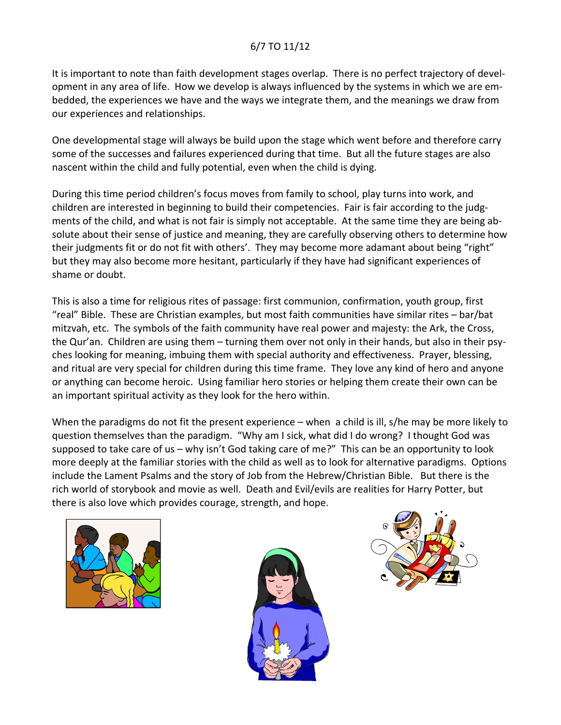## 6/7 TO 11/12

It is important to note than faith development stages overlap. There is no perfect trajectory of devel‐ opment in any area of life. How we develop is always influenced by the systems in which we are em‐ bedded, the experiences we have and the ways we integrate them, and the meanings we draw from our experiences and relationships.

One developmental stage will always be build upon the stage which went before and therefore carry some of the successes and failures experienced during that time. But all the future stages are also nascent within the child and fully potential, even when the child is dying.

During this time period children's focus moves from family to school, play turns into work, and children are interested in beginning to build their competencies. Fair is fair according to the judgments of the child, and what is not fair is simply not acceptable. At the same time they are being ab‐ solute about their sense of justice and meaning, they are carefully observing others to determine how their judgments fit or do not fit with others'. They may become more adamant about being "right" but they may also become more hesitant, particularly if they have had significant experiences of shame or doubt.

This is also a time for religious rites of passage: first communion, confirmation, youth group, first "real" Bible. These are Christian examples, but most faith communities have similar rites – bar/bat mitzvah, etc. The symbols of the faith community have real power and majesty: the Ark, the Cross, the Qur'an. Children are using them – turning them over not only in their hands, but also in their psyches looking for meaning, imbuing them with special authority and effectiveness. Prayer, blessing, and ritual are very special for children during this time frame. They love any kind of hero and anyone or anything can become heroic. Using familiar hero stories or helping them create their own can be an important spiritual activity as they look for the hero within.

When the paradigms do not fit the present experience – when a child is ill, s/he may be more likely to question themselves than the paradigm. "Why am I sick, what did I do wrong? I thought God was supposed to take care of us – why isn't God taking care of me?" This can be an opportunity to look more deeply at the familiar stories with the child as well as to look for alternative paradigms. Options include the Lament Psalms and the story of Job from the Hebrew/Christian Bible. But there is the rich world of storybook and movie as well. Death and Evil/evils are realities for Harry Potter, but there is also love which provides courage, strength, and hope.





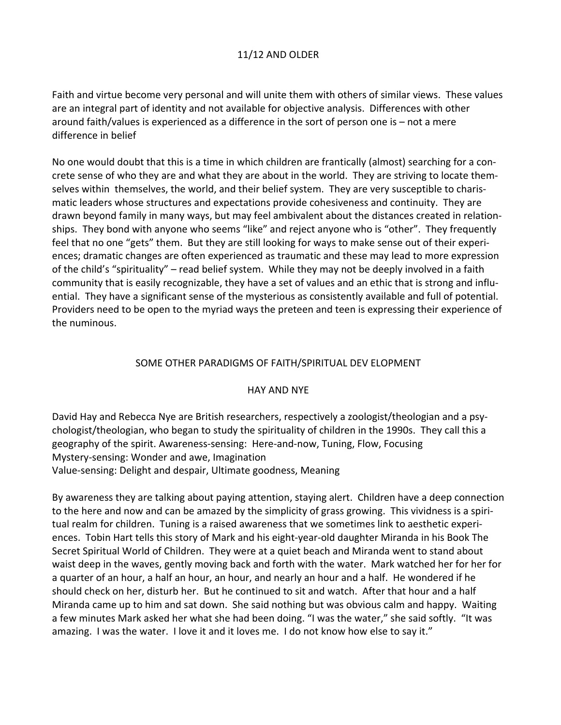## 11/12 AND OLDER

Faith and virtue become very personal and will unite them with others of similar views. These values are an integral part of identity and not available for objective analysis. Differences with other around faith/values is experienced as a difference in the sort of person one is – not a mere difference in belief

No one would doubt that this is a time in which children are frantically (almost) searching for a con‐ crete sense of who they are and what they are about in the world. They are striving to locate them‐ selves within themselves, the world, and their belief system. They are very susceptible to charismatic leaders whose structures and expectations provide cohesiveness and continuity. They are drawn beyond family in many ways, but may feel ambivalent about the distances created in relation‐ ships. They bond with anyone who seems "like" and reject anyone who is "other". They frequently feel that no one "gets" them. But they are still looking for ways to make sense out of their experiences; dramatic changes are often experienced as traumatic and these may lead to more expression of the child's "spirituality" – read belief system. While they may not be deeply involved in a faith community that is easily recognizable, they have a set of values and an ethic that is strong and influ‐ ential. They have a significant sense of the mysterious as consistently available and full of potential. Providers need to be open to the myriad ways the preteen and teen is expressing their experience of the numinous.

#### SOME OTHER PARADIGMS OF FAITH/SPIRITUAL DEV ELOPMENT

#### HAY AND NYE

David Hay and Rebecca Nye are British researchers, respectively a zoologist/theologian and a psy‐ chologist/theologian, who began to study the spirituality of children in the 1990s. They call this a geography of the spirit. Awareness‐sensing: Here‐and‐now, Tuning, Flow, Focusing Mystery‐sensing: Wonder and awe, Imagination Value‐sensing: Delight and despair, Ultimate goodness, Meaning

By awareness they are talking about paying attention, staying alert. Children have a deep connection to the here and now and can be amazed by the simplicity of grass growing. This vividness is a spiri‐ tual realm for children. Tuning is a raised awareness that we sometimes link to aesthetic experi‐ ences. Tobin Hart tells this story of Mark and his eight‐year‐old daughter Miranda in his Book The Secret Spiritual World of Children. They were at a quiet beach and Miranda went to stand about waist deep in the waves, gently moving back and forth with the water. Mark watched her for her for a quarter of an hour, a half an hour, an hour, and nearly an hour and a half. He wondered if he should check on her, disturb her. But he continued to sit and watch. After that hour and a half Miranda came up to him and sat down. She said nothing but was obvious calm and happy. Waiting a few minutes Mark asked her what she had been doing. "I was the water," she said softly. "It was amazing. I was the water. I love it and it loves me. I do not know how else to say it."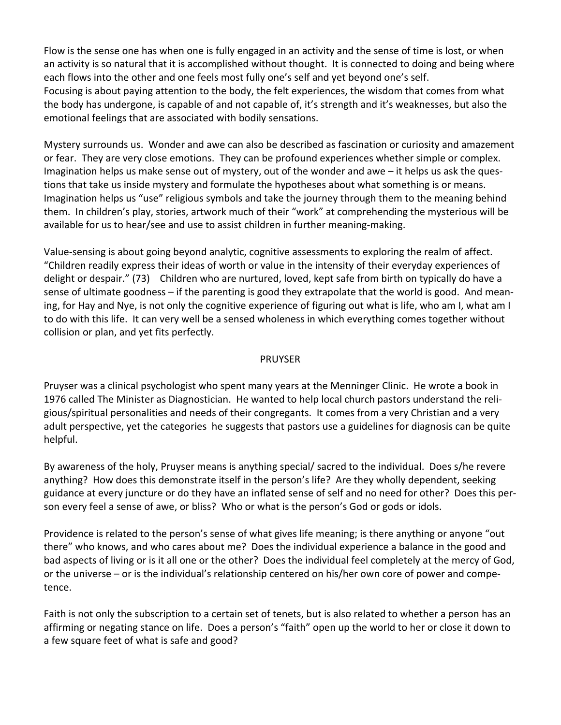Flow is the sense one has when one is fully engaged in an activity and the sense of time is lost, or when an activity is so natural that it is accomplished without thought. It is connected to doing and being where each flows into the other and one feels most fully one's self and yet beyond one's self. Focusing is about paying attention to the body, the felt experiences, the wisdom that comes from what the body has undergone, is capable of and not capable of, it's strength and it's weaknesses, but also the emotional feelings that are associated with bodily sensations.

Mystery surrounds us. Wonder and awe can also be described as fascination or curiosity and amazement or fear. They are very close emotions. They can be profound experiences whether simple or complex. Imagination helps us make sense out of mystery, out of the wonder and awe – it helps us ask the ques‐ tions that take us inside mystery and formulate the hypotheses about what something is or means. Imagination helps us "use" religious symbols and take the journey through them to the meaning behind them. In children's play, stories, artwork much of their "work" at comprehending the mysterious will be available for us to hear/see and use to assist children in further meaning‐making.

Value‐sensing is about going beyond analytic, cognitive assessments to exploring the realm of affect. "Children readily express their ideas of worth or value in the intensity of their everyday experiences of delight or despair." (73) Children who are nurtured, loved, kept safe from birth on typically do have a sense of ultimate goodness – if the parenting is good they extrapolate that the world is good. And mean‐ ing, for Hay and Nye, is not only the cognitive experience of figuring out what is life, who am I, what am I to do with this life. It can very well be a sensed wholeness in which everything comes together without collision or plan, and yet fits perfectly.

#### PRUYSER

Pruyser was a clinical psychologist who spent many years at the Menninger Clinic. He wrote a book in 1976 called The Minister as Diagnostician. He wanted to help local church pastors understand the reli‐ gious/spiritual personalities and needs of their congregants. It comes from a very Christian and a very adult perspective, yet the categories he suggests that pastors use a guidelines for diagnosis can be quite helpful.

By awareness of the holy, Pruyser means is anything special/ sacred to the individual. Does s/he revere anything? How does this demonstrate itself in the person's life? Are they wholly dependent, seeking guidance at every juncture or do they have an inflated sense of self and no need for other? Does this per‐ son every feel a sense of awe, or bliss? Who or what is the person's God or gods or idols.

Providence is related to the person's sense of what gives life meaning; is there anything or anyone "out there" who knows, and who cares about me? Does the individual experience a balance in the good and bad aspects of living or is it all one or the other? Does the individual feel completely at the mercy of God, or the universe – or is the individual's relationship centered on his/her own core of power and compe‐ tence.

Faith is not only the subscription to a certain set of tenets, but is also related to whether a person has an affirming or negating stance on life. Does a person's "faith" open up the world to her or close it down to a few square feet of what is safe and good?